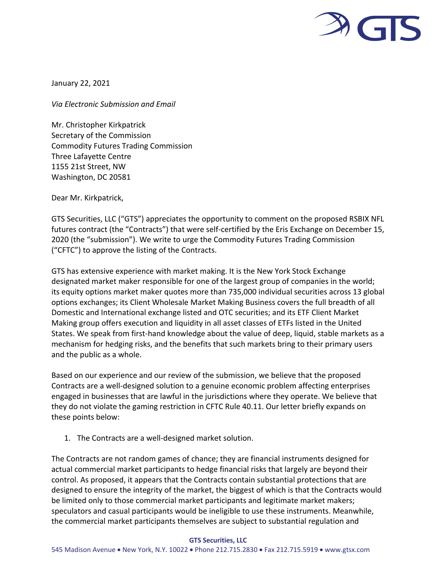

January 22, 2021

*Via Electronic Submission and Email*

Mr. Christopher Kirkpatrick Secretary of the Commission Commodity Futures Trading Commission Three Lafayette Centre 1155 21st Street, NW Washington, DC 20581

Dear Mr. Kirkpatrick,

GTS Securities, LLC ("GTS") appreciates the opportunity to comment on the proposed RSBIX NFL futures contract (the "Contracts") that were self-certified by the Eris Exchange on December 15, 2020 (the "submission"). We write to urge the Commodity Futures Trading Commission ("CFTC") to approve the listing of the Contracts.

GTS has extensive experience with market making. It is the New York Stock Exchange designated market maker responsible for one of the largest group of companies in the world; its equity options market maker quotes more than 735,000 individual securities across 13 global options exchanges; its Client Wholesale Market Making Business covers the full breadth of all Domestic and International exchange listed and OTC securities; and its ETF Client Market Making group offers execution and liquidity in all asset classes of ETFs listed in the United States. We speak from first-hand knowledge about the value of deep, liquid, stable markets as a mechanism for hedging risks, and the benefits that such markets bring to their primary users and the public as a whole.

Based on our experience and our review of the submission, we believe that the proposed Contracts are a well-designed solution to a genuine economic problem affecting enterprises engaged in businesses that are lawful in the jurisdictions where they operate. We believe that they do not violate the gaming restriction in CFTC Rule 40.11. Our letter briefly expands on these points below:

1. The Contracts are a well-designed market solution.

The Contracts are not random games of chance; they are financial instruments designed for actual commercial market participants to hedge financial risks that largely are beyond their control. As proposed, it appears that the Contracts contain substantial protections that are designed to ensure the integrity of the market, the biggest of which is that the Contracts would be limited only to those commercial market participants and legitimate market makers; speculators and casual participants would be ineligible to use these instruments. Meanwhile, the commercial market participants themselves are subject to substantial regulation and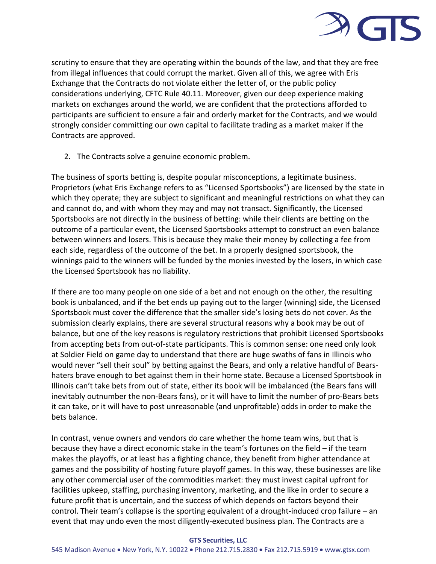

scrutiny to ensure that they are operating within the bounds of the law, and that they are free from illegal influences that could corrupt the market. Given all of this, we agree with Eris Exchange that the Contracts do not violate either the letter of, or the public policy considerations underlying, CFTC Rule 40.11. Moreover, given our deep experience making markets on exchanges around the world, we are confident that the protections afforded to participants are sufficient to ensure a fair and orderly market for the Contracts, and we would strongly consider committing our own capital to facilitate trading as a market maker if the Contracts are approved.

2. The Contracts solve a genuine economic problem.

The business of sports betting is, despite popular misconceptions, a legitimate business. Proprietors (what Eris Exchange refers to as "Licensed Sportsbooks") are licensed by the state in which they operate; they are subject to significant and meaningful restrictions on what they can and cannot do, and with whom they may and may not transact. Significantly, the Licensed Sportsbooks are not directly in the business of betting: while their clients are betting on the outcome of a particular event, the Licensed Sportsbooks attempt to construct an even balance between winners and losers. This is because they make their money by collecting a fee from each side, regardless of the outcome of the bet. In a properly designed sportsbook, the winnings paid to the winners will be funded by the monies invested by the losers, in which case the Licensed Sportsbook has no liability.

If there are too many people on one side of a bet and not enough on the other, the resulting book is unbalanced, and if the bet ends up paying out to the larger (winning) side, the Licensed Sportsbook must cover the difference that the smaller side's losing bets do not cover. As the submission clearly explains, there are several structural reasons why a book may be out of balance, but one of the key reasons is regulatory restrictions that prohibit Licensed Sportsbooks from accepting bets from out-of-state participants. This is common sense: one need only look at Soldier Field on game day to understand that there are huge swaths of fans in Illinois who would never "sell their soul" by betting against the Bears, and only a relative handful of Bearshaters brave enough to bet against them in their home state. Because a Licensed Sportsbook in Illinois can't take bets from out of state, either its book will be imbalanced (the Bears fans will inevitably outnumber the non-Bears fans), or it will have to limit the number of pro-Bears bets it can take, or it will have to post unreasonable (and unprofitable) odds in order to make the bets balance.

In contrast, venue owners and vendors do care whether the home team wins, but that is because they have a direct economic stake in the team's fortunes on the field – if the team makes the playoffs, or at least has a fighting chance, they benefit from higher attendance at games and the possibility of hosting future playoff games. In this way, these businesses are like any other commercial user of the commodities market: they must invest capital upfront for facilities upkeep, staffing, purchasing inventory, marketing, and the like in order to secure a future profit that is uncertain, and the success of which depends on factors beyond their control. Their team's collapse is the sporting equivalent of a drought-induced crop failure – an event that may undo even the most diligently-executed business plan. The Contracts are a

## **GTS Securities, LLC**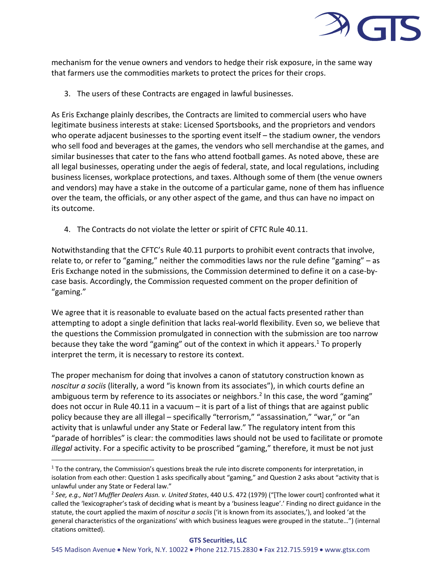

mechanism for the venue owners and vendors to hedge their risk exposure, in the same way that farmers use the commodities markets to protect the prices for their crops.

3. The users of these Contracts are engaged in lawful businesses.

As Eris Exchange plainly describes, the Contracts are limited to commercial users who have legitimate business interests at stake: Licensed Sportsbooks, and the proprietors and vendors who operate adjacent businesses to the sporting event itself – the stadium owner, the vendors who sell food and beverages at the games, the vendors who sell merchandise at the games, and similar businesses that cater to the fans who attend football games. As noted above, these are all legal businesses, operating under the aegis of federal, state, and local regulations, including business licenses, workplace protections, and taxes. Although some of them (the venue owners and vendors) may have a stake in the outcome of a particular game, none of them has influence over the team, the officials, or any other aspect of the game, and thus can have no impact on its outcome.

4. The Contracts do not violate the letter or spirit of CFTC Rule 40.11.

Notwithstanding that the CFTC's Rule 40.11 purports to prohibit event contracts that involve, relate to, or refer to "gaming," neither the commodities laws nor the rule define "gaming" – as Eris Exchange noted in the submissions, the Commission determined to define it on a case-bycase basis. Accordingly, the Commission requested comment on the proper definition of "gaming."

We agree that it is reasonable to evaluate based on the actual facts presented rather than attempting to adopt a single definition that lacks real-world flexibility. Even so, we believe that the questions the Commission promulgated in connection with the submission are too narrow because they take the word "gaming" out of the context in which it appears. <sup>1</sup> To properly interpret the term, it is necessary to restore its context.

The proper mechanism for doing that involves a canon of statutory construction known as *noscitur a sociis* (literally, a word "is known from its associates"), in which courts define an ambiguous term by reference to its associates or neighbors.<sup>2</sup> In this case, the word "gaming" does not occur in Rule 40.11 in a vacuum – it is part of a list of things that are against public policy because they are all illegal – specifically "terrorism," "assassination," "war," or "an activity that is unlawful under any State or Federal law." The regulatory intent from this "parade of horribles" is clear: the commodities laws should not be used to facilitate or promote *illegal* activity. For a specific activity to be proscribed "gaming," therefore, it must be not just

<sup>&</sup>lt;sup>1</sup> To the contrary, the Commission's questions break the rule into discrete components for interpretation, in isolation from each other: Question 1 asks specifically about "gaming," and Question 2 asks about "activity that is unlawful under any State or Federal law."

<sup>2</sup> *See, e.g., Nat'l Muffler Dealers Assn. v. United States*, 440 U.S. 472 (1979) ("[The lower court] confronted what it called the 'lexicographer's task of deciding what is meant by a 'business league'.' Finding no direct guidance in the statute, the court applied the maxim of *noscitur a sociis* ('it is known from its associates,'), and looked 'at the general characteristics of the organizations' with which business leagues were grouped in the statute…") (internal citations omitted).